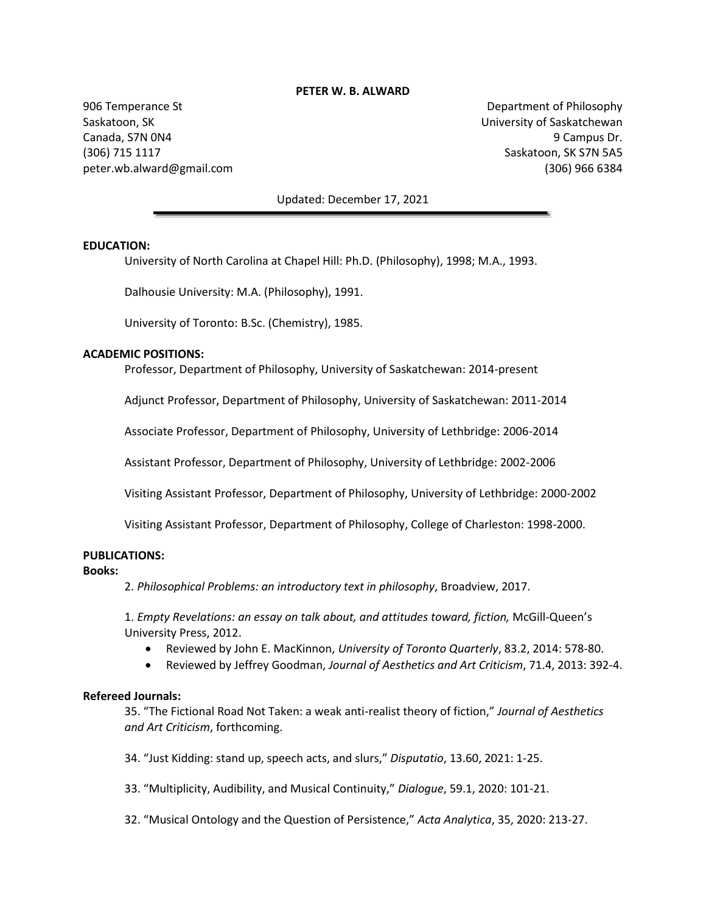#### **PETER W. B. ALWARD**

906 Temperance St Saskatoon, SK Canada, S7N 0N4 (306) 715 1117 peter.wb.alward@gmail.com

Department of Philosophy University of Saskatchewan 9 Campus Dr. Saskatoon, SK S7N 5A5 (306) 966 6384

#### Updated: December 17, 2021

#### **EDUCATION:**

University of North Carolina at Chapel Hill: Ph.D. (Philosophy), 1998; M.A., 1993.

Dalhousie University: M.A. (Philosophy), 1991.

University of Toronto: B.Sc. (Chemistry), 1985.

#### **ACADEMIC POSITIONS:**

Professor, Department of Philosophy, University of Saskatchewan: 2014-present

Adjunct Professor, Department of Philosophy, University of Saskatchewan: 2011-2014

Associate Professor, Department of Philosophy, University of Lethbridge: 2006-2014

Assistant Professor, Department of Philosophy, University of Lethbridge: 2002-2006

Visiting Assistant Professor, Department of Philosophy, University of Lethbridge: 2000-2002

Visiting Assistant Professor, Department of Philosophy, College of Charleston: 1998-2000.

## **PUBLICATIONS:**

#### **Books:**

2. *Philosophical Problems: an introductory text in philosophy*, Broadview, 2017.

1. *Empty Revelations: an essay on talk about, and attitudes toward, fiction,* McGill-Queen's University Press, 2012.

- Reviewed by John E. MacKinnon, *University of Toronto Quarterly*, 83.2, 2014: 578-80.
- Reviewed by Jeffrey Goodman, *Journal of Aesthetics and Art Criticism*, 71.4, 2013: 392-4.

#### **Refereed Journals:**

35. "The Fictional Road Not Taken: a weak anti-realist theory of fiction," *Journal of Aesthetics and Art Criticism*, forthcoming.

34. "Just Kidding: stand up, speech acts, and slurs," *Disputatio*, 13.60, 2021: 1-25.

33. "Multiplicity, Audibility, and Musical Continuity," *Dialogue*, 59.1, 2020: 101-21.

32. "Musical Ontology and the Question of Persistence," *Acta Analytica*, 35, 2020: 213-27.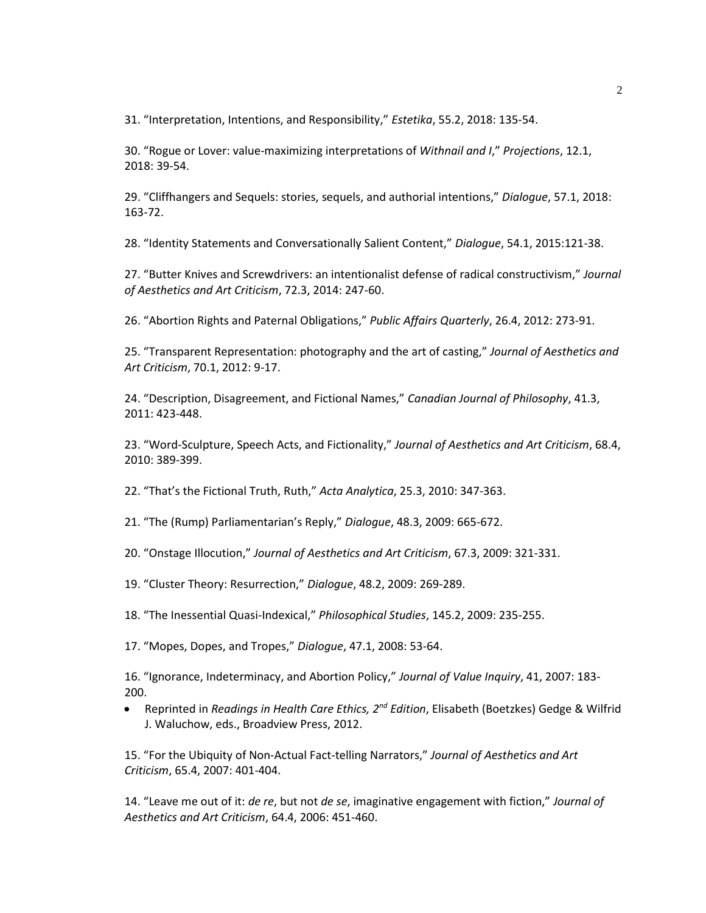31. "Interpretation, Intentions, and Responsibility," *Estetika*, 55.2, 2018: 135-54.

30. "Rogue or Lover: value-maximizing interpretations of *Withnail and I*," *Projections*, 12.1, 2018: 39-54.

29. "Cliffhangers and Sequels: stories, sequels, and authorial intentions," *Dialogue*, 57.1, 2018: 163-72.

28. "Identity Statements and Conversationally Salient Content," *Dialogue*, 54.1, 2015:121-38.

27. "Butter Knives and Screwdrivers: an intentionalist defense of radical constructivism," *Journal of Aesthetics and Art Criticism*, 72.3, 2014: 247-60.

26. "Abortion Rights and Paternal Obligations," *Public Affairs Quarterly*, 26.4, 2012: 273-91.

25. "Transparent Representation: photography and the art of casting," *Journal of Aesthetics and Art Criticism*, 70.1, 2012: 9-17.

24. "Description, Disagreement, and Fictional Names," *Canadian Journal of Philosophy*, 41.3, 2011: 423-448.

23. "Word-Sculpture, Speech Acts, and Fictionality," *Journal of Aesthetics and Art Criticism*, 68.4, 2010: 389-399.

22. "That's the Fictional Truth, Ruth," *Acta Analytica*, 25.3, 2010: 347-363.

21. "The (Rump) Parliamentarian's Reply," *Dialogue*, 48.3, 2009: 665-672.

20. "Onstage Illocution," *Journal of Aesthetics and Art Criticism*, 67.3, 2009: 321-331.

19. "Cluster Theory: Resurrection," *Dialogue*, 48.2, 2009: 269-289.

18. "The Inessential Quasi-Indexical," *Philosophical Studies*, 145.2, 2009: 235-255.

17. "Mopes, Dopes, and Tropes," *Dialogue*, 47.1, 2008: 53-64.

16. "Ignorance, Indeterminacy, and Abortion Policy," *Journal of Value Inquiry*, 41, 2007: 183- 200.

• Reprinted in *Readings in Health Care Ethics, 2nd Edition*, Elisabeth (Boetzkes) Gedge & Wilfrid J. Waluchow, eds., Broadview Press, 2012.

15. "For the Ubiquity of Non-Actual Fact-telling Narrators," *Journal of Aesthetics and Art Criticism*, 65.4, 2007: 401-404.

14. "Leave me out of it: *de re*, but not *de se*, imaginative engagement with fiction," *Journal of Aesthetics and Art Criticism*, 64.4, 2006: 451-460.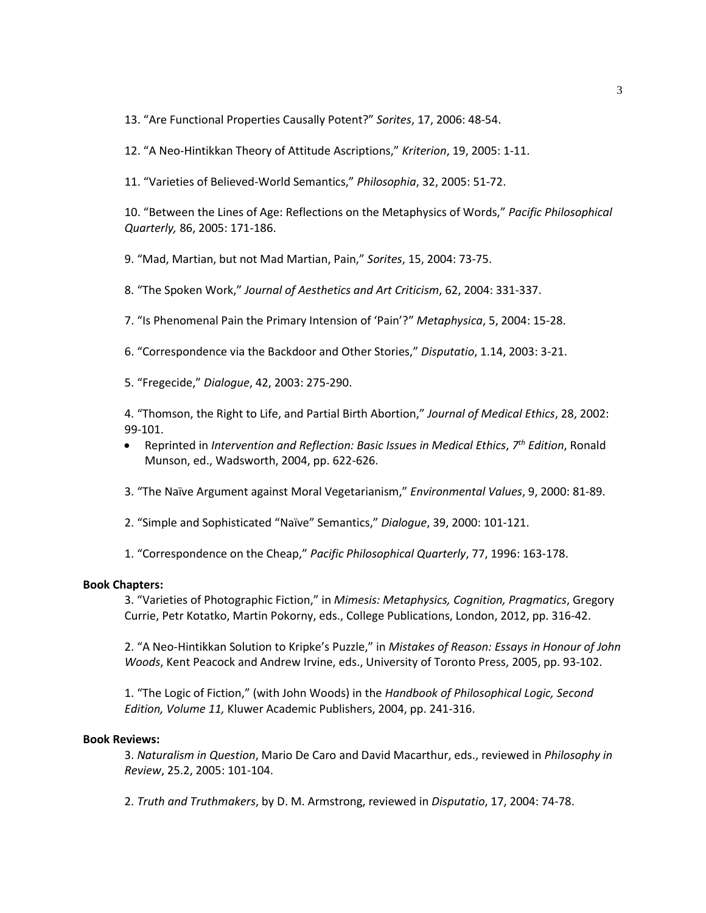13. "Are Functional Properties Causally Potent?" *Sorites*, 17, 2006: 48-54.

12. "A Neo-Hintikkan Theory of Attitude Ascriptions," *Kriterion*, 19, 2005: 1-11.

11. "Varieties of Believed-World Semantics," *Philosophia*, 32, 2005: 51-72.

10. "Between the Lines of Age: Reflections on the Metaphysics of Words," *Pacific Philosophical Quarterly,* 86, 2005: 171-186.

9. "Mad, Martian, but not Mad Martian, Pain," *Sorites*, 15, 2004: 73-75.

8. "The Spoken Work," *Journal of Aesthetics and Art Criticism*, 62, 2004: 331-337.

7. "Is Phenomenal Pain the Primary Intension of 'Pain'?" *Metaphysica*, 5, 2004: 15-28.

6. "Correspondence via the Backdoor and Other Stories," *Disputatio*, 1.14, 2003: 3-21.

5. "Fregecide," *Dialogue*, 42, 2003: 275-290.

4. "Thomson, the Right to Life, and Partial Birth Abortion," *Journal of Medical Ethics*, 28, 2002: 99-101.

- Reprinted in *Intervention and Reflection: Basic Issues in Medical Ethics*, *7 th Edition*, Ronald Munson, ed., Wadsworth, 2004, pp. 622-626.
- 3. "The Naïve Argument against Moral Vegetarianism," *Environmental Values*, 9, 2000: 81-89.
- 2. "Simple and Sophisticated "Naïve" Semantics," *Dialogue*, 39, 2000: 101-121.

1. "Correspondence on the Cheap," *Pacific Philosophical Quarterly*, 77, 1996: 163-178.

### **Book Chapters:**

3. "Varieties of Photographic Fiction," in *Mimesis: Metaphysics, Cognition, Pragmatics*, Gregory Currie, Petr Kotatko, Martin Pokorny, eds., College Publications, London, 2012, pp. 316-42.

2. "A Neo-Hintikkan Solution to Kripke's Puzzle," in *Mistakes of Reason: Essays in Honour of John Woods*, Kent Peacock and Andrew Irvine, eds., University of Toronto Press, 2005, pp. 93-102.

1. "The Logic of Fiction," (with John Woods) in the *Handbook of Philosophical Logic, Second Edition, Volume 11,* Kluwer Academic Publishers, 2004, pp. 241-316.

#### **Book Reviews:**

3. *Naturalism in Question*, Mario De Caro and David Macarthur, eds., reviewed in *Philosophy in Review*, 25.2, 2005: 101-104.

2. *Truth and Truthmakers*, by D. M. Armstrong, reviewed in *Disputatio*, 17, 2004: 74-78.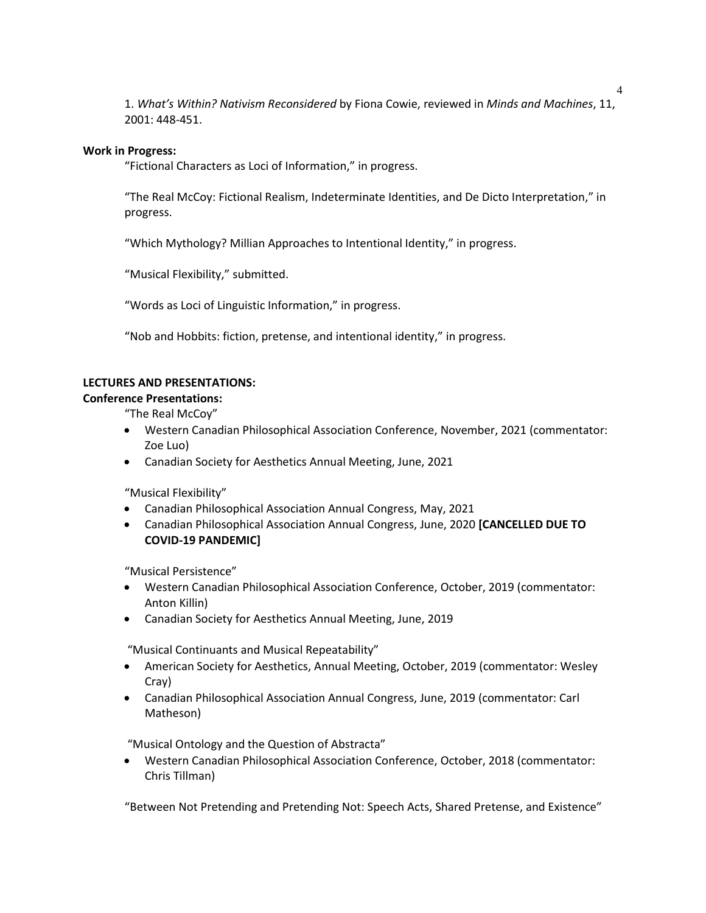1. *What's Within? Nativism Reconsidered* by Fiona Cowie, reviewed in *Minds and Machines*, 11, 2001: 448-451.

## **Work in Progress:**

"Fictional Characters as Loci of Information," in progress.

"The Real McCoy: Fictional Realism, Indeterminate Identities, and De Dicto Interpretation," in progress.

"Which Mythology? Millian Approaches to Intentional Identity," in progress.

"Musical Flexibility," submitted.

"Words as Loci of Linguistic Information," in progress.

"Nob and Hobbits: fiction, pretense, and intentional identity," in progress.

## **LECTURES AND PRESENTATIONS:**

**Conference Presentations:**

"The Real McCoy"

- Western Canadian Philosophical Association Conference, November, 2021 (commentator: Zoe Luo)
- Canadian Society for Aesthetics Annual Meeting, June, 2021

"Musical Flexibility"

- Canadian Philosophical Association Annual Congress, May, 2021
- Canadian Philosophical Association Annual Congress, June, 2020 **[CANCELLED DUE TO COVID-19 PANDEMIC]**

"Musical Persistence"

- Western Canadian Philosophical Association Conference, October, 2019 (commentator: Anton Killin)
- Canadian Society for Aesthetics Annual Meeting, June, 2019

"Musical Continuants and Musical Repeatability"

- American Society for Aesthetics, Annual Meeting, October, 2019 (commentator: Wesley Cray)
- Canadian Philosophical Association Annual Congress, June, 2019 (commentator: Carl Matheson)

"Musical Ontology and the Question of Abstracta"

• Western Canadian Philosophical Association Conference, October, 2018 (commentator: Chris Tillman)

"Between Not Pretending and Pretending Not: Speech Acts, Shared Pretense, and Existence"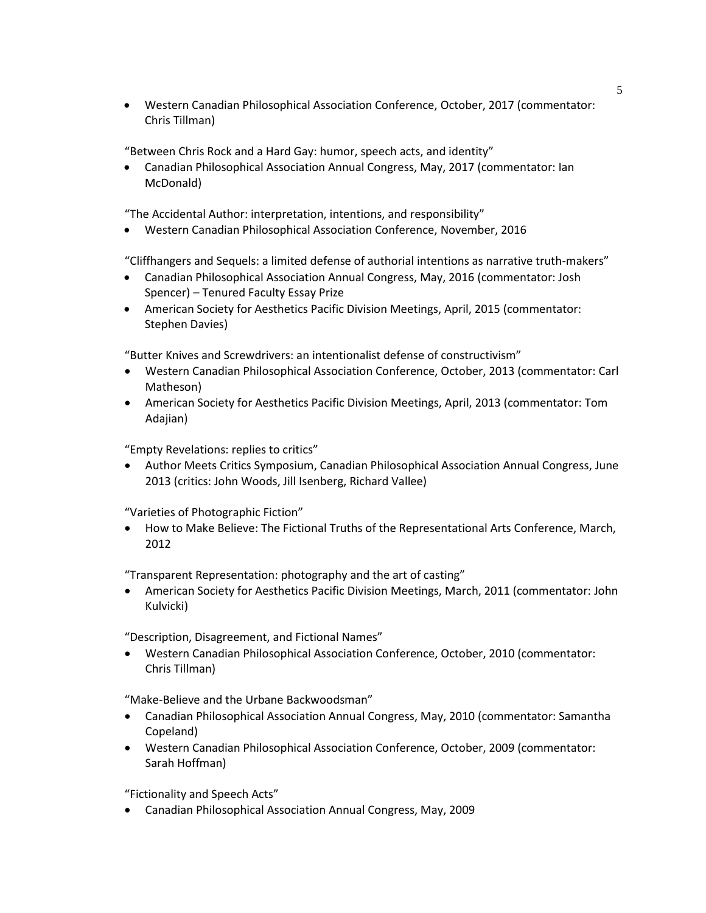• Western Canadian Philosophical Association Conference, October, 2017 (commentator: Chris Tillman)

"Between Chris Rock and a Hard Gay: humor, speech acts, and identity"

• Canadian Philosophical Association Annual Congress, May, 2017 (commentator: Ian McDonald)

"The Accidental Author: interpretation, intentions, and responsibility"

• Western Canadian Philosophical Association Conference, November, 2016

"Cliffhangers and Sequels: a limited defense of authorial intentions as narrative truth-makers"

- Canadian Philosophical Association Annual Congress, May, 2016 (commentator: Josh Spencer) – Tenured Faculty Essay Prize
- American Society for Aesthetics Pacific Division Meetings, April, 2015 (commentator: Stephen Davies)

"Butter Knives and Screwdrivers: an intentionalist defense of constructivism"

- Western Canadian Philosophical Association Conference, October, 2013 (commentator: Carl Matheson)
- American Society for Aesthetics Pacific Division Meetings, April, 2013 (commentator: Tom Adajian)

"Empty Revelations: replies to critics"

• Author Meets Critics Symposium, Canadian Philosophical Association Annual Congress, June 2013 (critics: John Woods, Jill Isenberg, Richard Vallee)

"Varieties of Photographic Fiction"

• How to Make Believe: The Fictional Truths of the Representational Arts Conference, March, 2012

"Transparent Representation: photography and the art of casting"

• American Society for Aesthetics Pacific Division Meetings, March, 2011 (commentator: John Kulvicki)

"Description, Disagreement, and Fictional Names"

• Western Canadian Philosophical Association Conference, October, 2010 (commentator: Chris Tillman)

"Make-Believe and the Urbane Backwoodsman"

- Canadian Philosophical Association Annual Congress, May, 2010 (commentator: Samantha Copeland)
- Western Canadian Philosophical Association Conference, October, 2009 (commentator: Sarah Hoffman)

"Fictionality and Speech Acts"

• Canadian Philosophical Association Annual Congress, May, 2009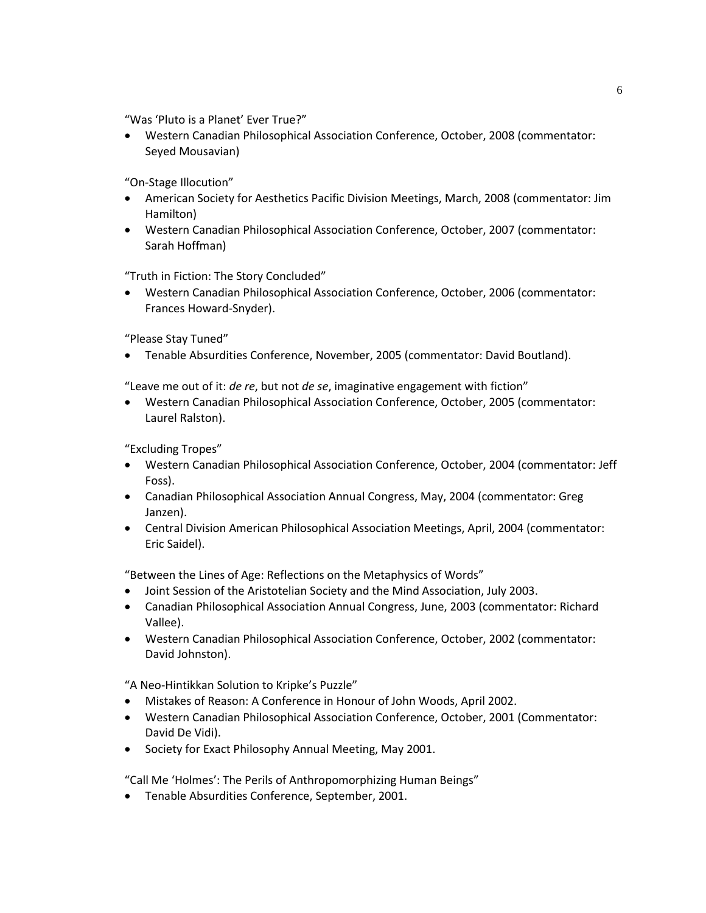"Was 'Pluto is a Planet' Ever True?"

• Western Canadian Philosophical Association Conference, October, 2008 (commentator: Seyed Mousavian)

"On-Stage Illocution"

- American Society for Aesthetics Pacific Division Meetings, March, 2008 (commentator: Jim Hamilton)
- Western Canadian Philosophical Association Conference, October, 2007 (commentator: Sarah Hoffman)

"Truth in Fiction: The Story Concluded"

• Western Canadian Philosophical Association Conference, October, 2006 (commentator: Frances Howard-Snyder).

"Please Stay Tuned"

• Tenable Absurdities Conference, November, 2005 (commentator: David Boutland).

"Leave me out of it: *de re*, but not *de se*, imaginative engagement with fiction"

• Western Canadian Philosophical Association Conference, October, 2005 (commentator: Laurel Ralston).

"Excluding Tropes"

- Western Canadian Philosophical Association Conference, October, 2004 (commentator: Jeff Foss).
- Canadian Philosophical Association Annual Congress, May, 2004 (commentator: Greg Janzen).
- Central Division American Philosophical Association Meetings, April, 2004 (commentator: Eric Saidel).

"Between the Lines of Age: Reflections on the Metaphysics of Words"

- Joint Session of the Aristotelian Society and the Mind Association, July 2003.
- Canadian Philosophical Association Annual Congress, June, 2003 (commentator: Richard Vallee).
- Western Canadian Philosophical Association Conference, October, 2002 (commentator: David Johnston).

"A Neo-Hintikkan Solution to Kripke's Puzzle"

- Mistakes of Reason: A Conference in Honour of John Woods, April 2002.
- Western Canadian Philosophical Association Conference, October, 2001 (Commentator: David De Vidi).
- Society for Exact Philosophy Annual Meeting, May 2001.

"Call Me 'Holmes': The Perils of Anthropomorphizing Human Beings"

• Tenable Absurdities Conference, September, 2001.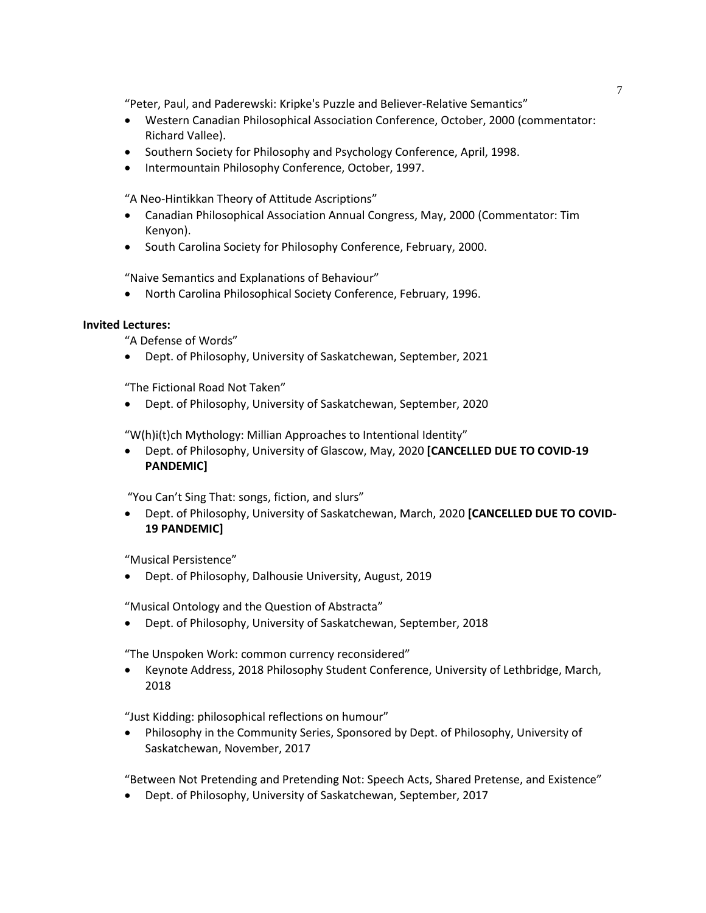"Peter, Paul, and Paderewski: Kripke's Puzzle and Believer-Relative Semantics"

- Western Canadian Philosophical Association Conference, October, 2000 (commentator: Richard Vallee).
- Southern Society for Philosophy and Psychology Conference, April, 1998.
- Intermountain Philosophy Conference, October, 1997.

"A Neo-Hintikkan Theory of Attitude Ascriptions"

- Canadian Philosophical Association Annual Congress, May, 2000 (Commentator: Tim Kenyon).
- South Carolina Society for Philosophy Conference, February, 2000.

"Naive Semantics and Explanations of Behaviour"

• North Carolina Philosophical Society Conference, February, 1996.

## **Invited Lectures:**

"A Defense of Words"

• Dept. of Philosophy, University of Saskatchewan, September, 2021

"The Fictional Road Not Taken"

• Dept. of Philosophy, University of Saskatchewan, September, 2020

"W(h)i(t)ch Mythology: Millian Approaches to Intentional Identity"

• Dept. of Philosophy, University of Glascow, May, 2020 **[CANCELLED DUE TO COVID-19 PANDEMIC]**

"You Can't Sing That: songs, fiction, and slurs"

• Dept. of Philosophy, University of Saskatchewan, March, 2020 **[CANCELLED DUE TO COVID-19 PANDEMIC]**

"Musical Persistence"

• Dept. of Philosophy, Dalhousie University, August, 2019

"Musical Ontology and the Question of Abstracta"

• Dept. of Philosophy, University of Saskatchewan, September, 2018

"The Unspoken Work: common currency reconsidered"

• Keynote Address, 2018 Philosophy Student Conference, University of Lethbridge, March, 2018

"Just Kidding: philosophical reflections on humour"

• Philosophy in the Community Series, Sponsored by Dept. of Philosophy, University of Saskatchewan, November, 2017

"Between Not Pretending and Pretending Not: Speech Acts, Shared Pretense, and Existence"

• Dept. of Philosophy, University of Saskatchewan, September, 2017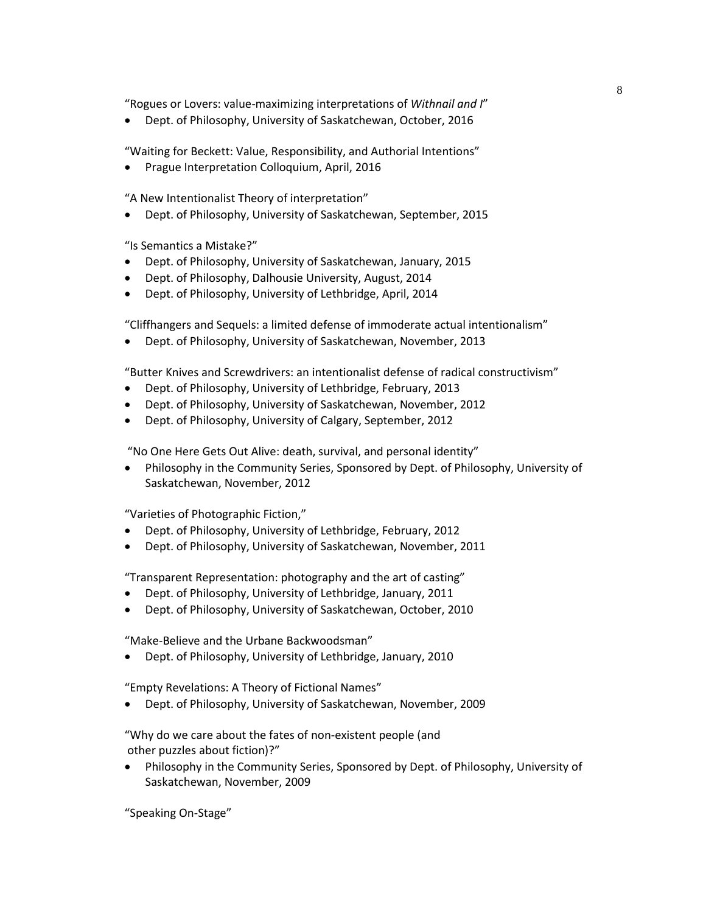"Rogues or Lovers: value-maximizing interpretations of *Withnail and I*"

• Dept. of Philosophy, University of Saskatchewan, October, 2016

"Waiting for Beckett: Value, Responsibility, and Authorial Intentions"

• Prague Interpretation Colloquium, April, 2016

"A New Intentionalist Theory of interpretation"

• Dept. of Philosophy, University of Saskatchewan, September, 2015

"Is Semantics a Mistake?"

- Dept. of Philosophy, University of Saskatchewan, January, 2015
- Dept. of Philosophy, Dalhousie University, August, 2014
- Dept. of Philosophy, University of Lethbridge, April, 2014

"Cliffhangers and Sequels: a limited defense of immoderate actual intentionalism"

• Dept. of Philosophy, University of Saskatchewan, November, 2013

"Butter Knives and Screwdrivers: an intentionalist defense of radical constructivism"

- Dept. of Philosophy, University of Lethbridge, February, 2013
- Dept. of Philosophy, University of Saskatchewan, November, 2012
- Dept. of Philosophy, University of Calgary, September, 2012

"No One Here Gets Out Alive: death, survival, and personal identity"

• Philosophy in the Community Series, Sponsored by Dept. of Philosophy, University of Saskatchewan, November, 2012

"Varieties of Photographic Fiction,"

- Dept. of Philosophy, University of Lethbridge, February, 2012
- Dept. of Philosophy, University of Saskatchewan, November, 2011

"Transparent Representation: photography and the art of casting"

- Dept. of Philosophy, University of Lethbridge, January, 2011
- Dept. of Philosophy, University of Saskatchewan, October, 2010

"Make-Believe and the Urbane Backwoodsman"

• Dept. of Philosophy, University of Lethbridge, January, 2010

"Empty Revelations: A Theory of Fictional Names"

• Dept. of Philosophy, University of Saskatchewan, November, 2009

"Why do we care about the fates of non-existent people (and other puzzles about fiction)?"

• Philosophy in the Community Series, Sponsored by Dept. of Philosophy, University of Saskatchewan, November, 2009

"Speaking On-Stage"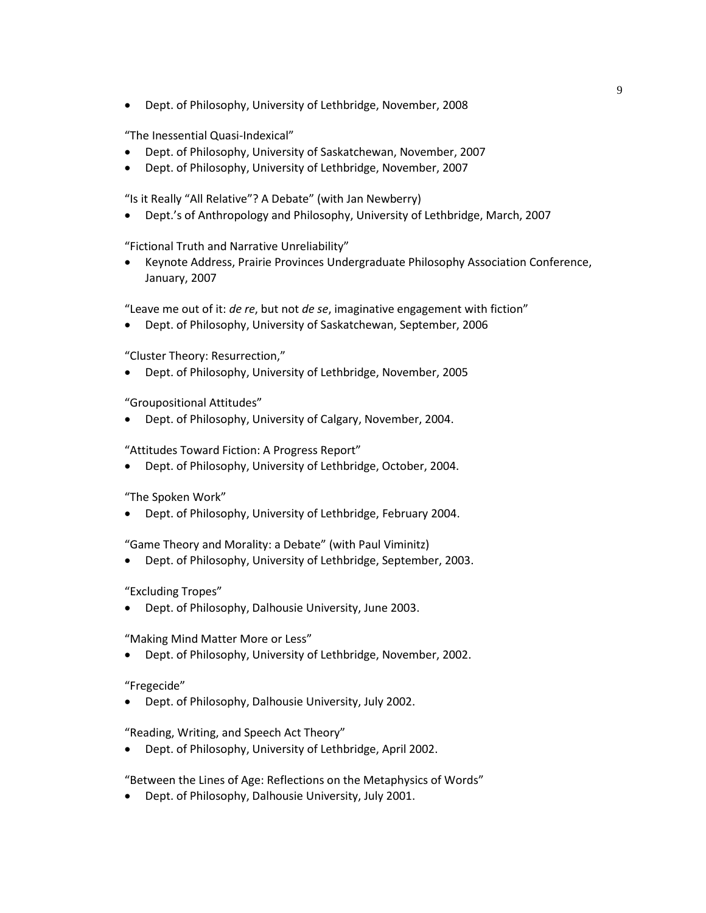• Dept. of Philosophy, University of Lethbridge, November, 2008

"The Inessential Quasi-Indexical"

- Dept. of Philosophy, University of Saskatchewan, November, 2007
- Dept. of Philosophy, University of Lethbridge, November, 2007

"Is it Really "All Relative"? A Debate" (with Jan Newberry)

• Dept.'s of Anthropology and Philosophy, University of Lethbridge, March, 2007

"Fictional Truth and Narrative Unreliability"

• Keynote Address, Prairie Provinces Undergraduate Philosophy Association Conference, January, 2007

"Leave me out of it: *de re*, but not *de se*, imaginative engagement with fiction"

• Dept. of Philosophy, University of Saskatchewan, September, 2006

"Cluster Theory: Resurrection,"

• Dept. of Philosophy, University of Lethbridge, November, 2005

"Groupositional Attitudes"

• Dept. of Philosophy, University of Calgary, November, 2004.

"Attitudes Toward Fiction: A Progress Report"

• Dept. of Philosophy, University of Lethbridge, October, 2004.

"The Spoken Work"

• Dept. of Philosophy, University of Lethbridge, February 2004.

"Game Theory and Morality: a Debate" (with Paul Viminitz)

• Dept. of Philosophy, University of Lethbridge, September, 2003.

"Excluding Tropes"

• Dept. of Philosophy, Dalhousie University, June 2003.

"Making Mind Matter More or Less"

• Dept. of Philosophy, University of Lethbridge, November, 2002.

## "Fregecide"

• Dept. of Philosophy, Dalhousie University, July 2002.

"Reading, Writing, and Speech Act Theory"

• Dept. of Philosophy, University of Lethbridge, April 2002.

"Between the Lines of Age: Reflections on the Metaphysics of Words"

• Dept. of Philosophy, Dalhousie University, July 2001.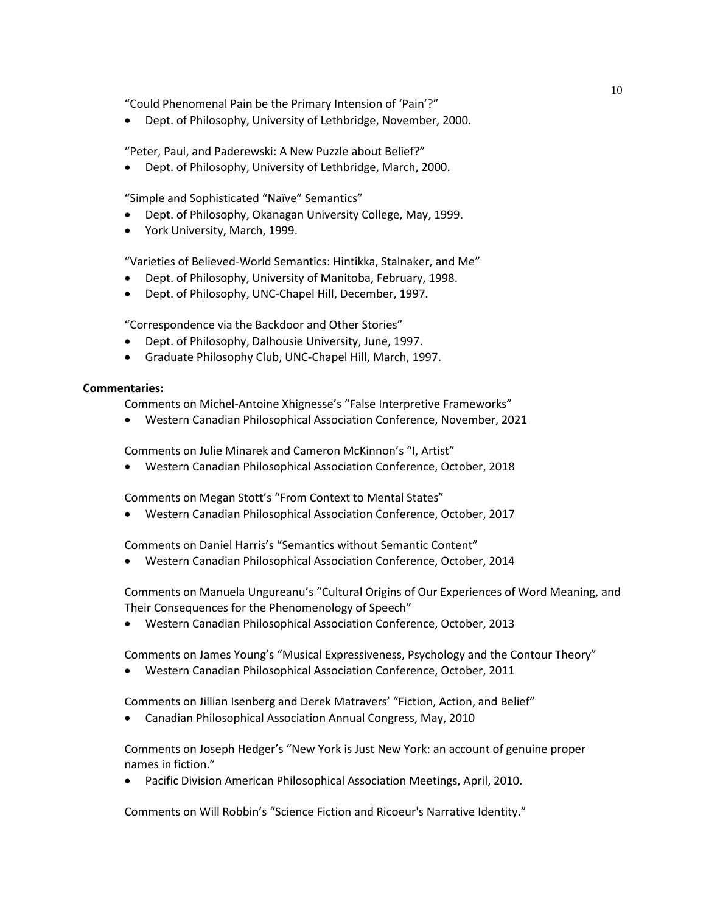"Could Phenomenal Pain be the Primary Intension of 'Pain'?"

• Dept. of Philosophy, University of Lethbridge, November, 2000.

"Peter, Paul, and Paderewski: A New Puzzle about Belief?"

• Dept. of Philosophy, University of Lethbridge, March, 2000.

"Simple and Sophisticated "Naïve" Semantics"

- Dept. of Philosophy, Okanagan University College, May, 1999.
- York University, March, 1999.

"Varieties of Believed-World Semantics: Hintikka, Stalnaker, and Me"

- Dept. of Philosophy, University of Manitoba, February, 1998.
- Dept. of Philosophy, UNC-Chapel Hill, December, 1997.

"Correspondence via the Backdoor and Other Stories"

- Dept. of Philosophy, Dalhousie University, June, 1997.
- Graduate Philosophy Club, UNC-Chapel Hill, March, 1997.

#### **Commentaries:**

Comments on Michel-Antoine Xhignesse's "False Interpretive Frameworks"

• Western Canadian Philosophical Association Conference, November, 2021

Comments on Julie Minarek and Cameron McKinnon's "I, Artist"

• Western Canadian Philosophical Association Conference, October, 2018

Comments on Megan Stott's "From Context to Mental States"

• Western Canadian Philosophical Association Conference, October, 2017

Comments on Daniel Harris's "Semantics without Semantic Content"

• Western Canadian Philosophical Association Conference, October, 2014

Comments on Manuela Ungureanu's "Cultural Origins of Our Experiences of Word Meaning, and Their Consequences for the Phenomenology of Speech"

• Western Canadian Philosophical Association Conference, October, 2013

Comments on James Young's "Musical Expressiveness, Psychology and the Contour Theory"

• Western Canadian Philosophical Association Conference, October, 2011

Comments on Jillian Isenberg and Derek Matravers' "Fiction, Action, and Belief"

• Canadian Philosophical Association Annual Congress, May, 2010

Comments on Joseph Hedger's "New York is Just New York: an account of genuine proper names in fiction."

• Pacific Division American Philosophical Association Meetings, April, 2010.

Comments on Will Robbin's "Science Fiction and Ricoeur's Narrative Identity."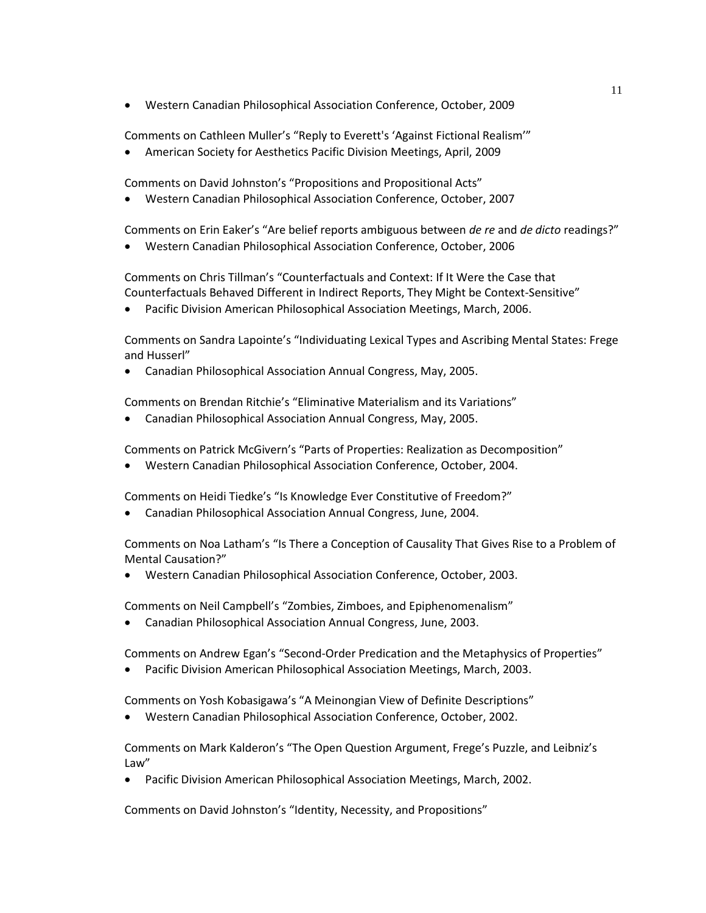• Western Canadian Philosophical Association Conference, October, 2009

Comments on Cathleen Muller's "Reply to Everett's 'Against Fictional Realism'"

• American Society for Aesthetics Pacific Division Meetings, April, 2009

Comments on David Johnston's "Propositions and Propositional Acts"

• Western Canadian Philosophical Association Conference, October, 2007

Comments on Erin Eaker's "Are belief reports ambiguous between *de re* and *de dicto* readings?"

• Western Canadian Philosophical Association Conference, October, 2006

Comments on Chris Tillman's "Counterfactuals and Context: If It Were the Case that Counterfactuals Behaved Different in Indirect Reports, They Might be Context-Sensitive"

• Pacific Division American Philosophical Association Meetings, March, 2006.

Comments on Sandra Lapointe's "Individuating Lexical Types and Ascribing Mental States: Frege and Husserl"

• Canadian Philosophical Association Annual Congress, May, 2005.

Comments on Brendan Ritchie's "Eliminative Materialism and its Variations"

• Canadian Philosophical Association Annual Congress, May, 2005.

Comments on Patrick McGivern's "Parts of Properties: Realization as Decomposition"

• Western Canadian Philosophical Association Conference, October, 2004.

Comments on Heidi Tiedke's "Is Knowledge Ever Constitutive of Freedom?"

• Canadian Philosophical Association Annual Congress, June, 2004.

Comments on Noa Latham's "Is There a Conception of Causality That Gives Rise to a Problem of Mental Causation?"

• Western Canadian Philosophical Association Conference, October, 2003.

Comments on Neil Campbell's "Zombies, Zimboes, and Epiphenomenalism"

• Canadian Philosophical Association Annual Congress, June, 2003.

Comments on Andrew Egan's "Second-Order Predication and the Metaphysics of Properties"

• Pacific Division American Philosophical Association Meetings, March, 2003.

Comments on Yosh Kobasigawa's "A Meinongian View of Definite Descriptions"

• Western Canadian Philosophical Association Conference, October, 2002.

Comments on Mark Kalderon's "The Open Question Argument, Frege's Puzzle, and Leibniz's Law"

• Pacific Division American Philosophical Association Meetings, March, 2002.

Comments on David Johnston's "Identity, Necessity, and Propositions"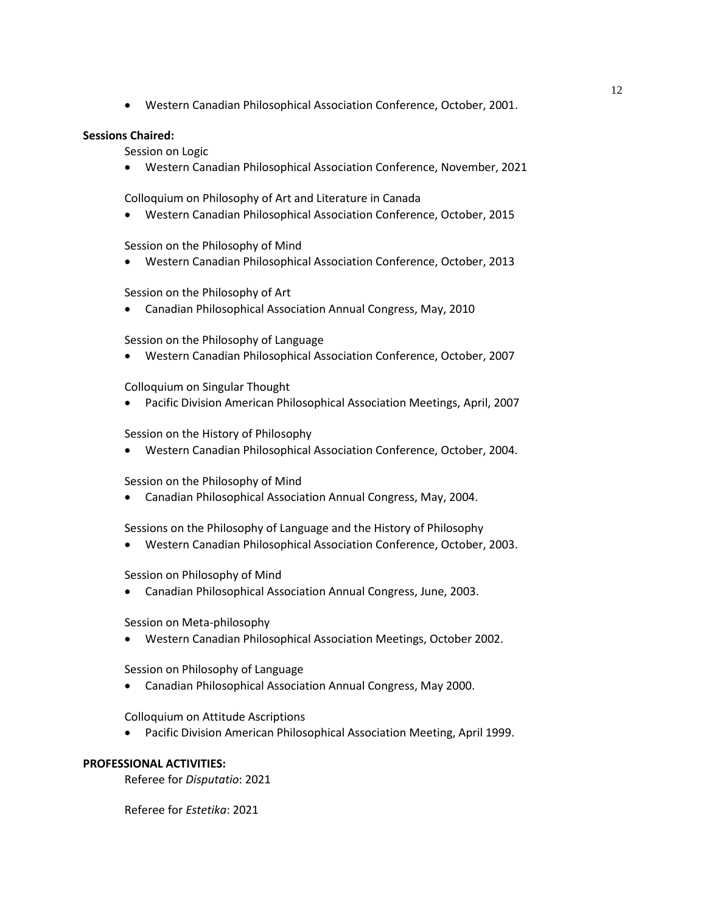• Western Canadian Philosophical Association Conference, October, 2001.

## **Sessions Chaired:**

Session on Logic

• Western Canadian Philosophical Association Conference, November, 2021

Colloquium on Philosophy of Art and Literature in Canada

• Western Canadian Philosophical Association Conference, October, 2015

Session on the Philosophy of Mind

• Western Canadian Philosophical Association Conference, October, 2013

Session on the Philosophy of Art

• Canadian Philosophical Association Annual Congress, May, 2010

Session on the Philosophy of Language

• Western Canadian Philosophical Association Conference, October, 2007

Colloquium on Singular Thought

• Pacific Division American Philosophical Association Meetings, April, 2007

Session on the History of Philosophy

• Western Canadian Philosophical Association Conference, October, 2004.

Session on the Philosophy of Mind

• Canadian Philosophical Association Annual Congress, May, 2004.

Sessions on the Philosophy of Language and the History of Philosophy

• Western Canadian Philosophical Association Conference, October, 2003.

Session on Philosophy of Mind

• Canadian Philosophical Association Annual Congress, June, 2003.

Session on Meta-philosophy

• Western Canadian Philosophical Association Meetings, October 2002.

Session on Philosophy of Language

• Canadian Philosophical Association Annual Congress, May 2000.

Colloquium on Attitude Ascriptions

• Pacific Division American Philosophical Association Meeting, April 1999.

## **PROFESSIONAL ACTIVITIES:**

Referee for *Disputatio*: 2021

Referee for *Estetika*: 2021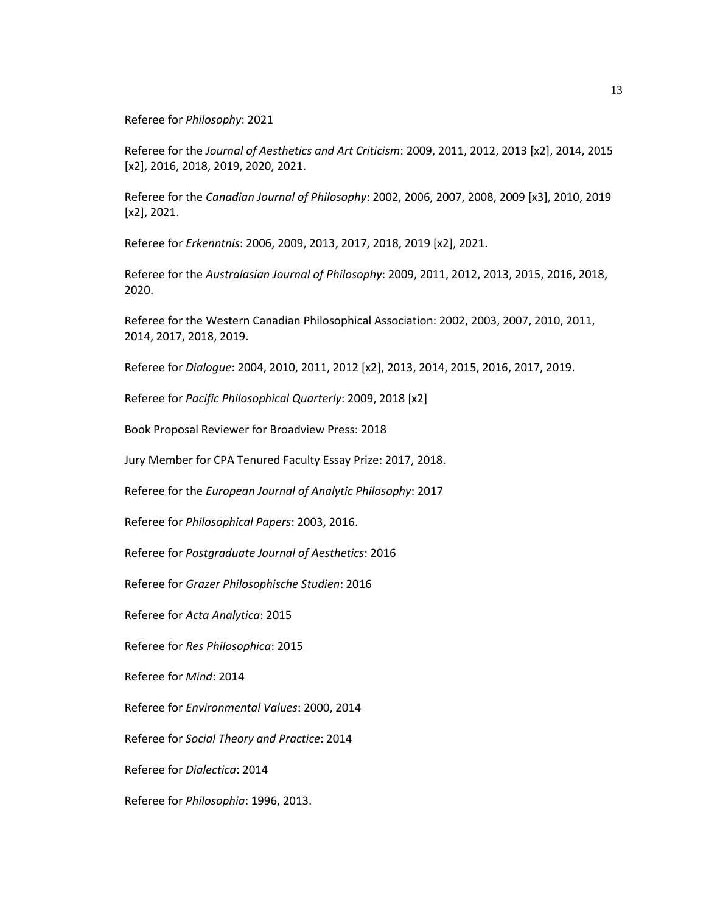Referee for *Philosophy*: 2021

Referee for the *Journal of Aesthetics and Art Criticism*: 2009, 2011, 2012, 2013 [x2], 2014, 2015 [x2], 2016, 2018, 2019, 2020, 2021.

Referee for the *Canadian Journal of Philosophy*: 2002, 2006, 2007, 2008, 2009 [x3], 2010, 2019 [x2], 2021.

Referee for *Erkenntnis*: 2006, 2009, 2013, 2017, 2018, 2019 [x2], 2021.

Referee for the *Australasian Journal of Philosophy*: 2009, 2011, 2012, 2013, 2015, 2016, 2018, 2020.

Referee for the Western Canadian Philosophical Association: 2002, 2003, 2007, 2010, 2011, 2014, 2017, 2018, 2019.

Referee for *Dialogue*: 2004, 2010, 2011, 2012 [x2], 2013, 2014, 2015, 2016, 2017, 2019.

Referee for *Pacific Philosophical Quarterly*: 2009, 2018 [x2]

Book Proposal Reviewer for Broadview Press: 2018

Jury Member for CPA Tenured Faculty Essay Prize: 2017, 2018.

Referee for the *European Journal of Analytic Philosophy*: 2017

Referee for *Philosophical Papers*: 2003, 2016.

Referee for *Postgraduate Journal of Aesthetics*: 2016

Referee for *Grazer Philosophische Studien*: 2016

Referee for *Acta Analytica*: 2015

Referee for *Res Philosophica*: 2015

Referee for *Mind*: 2014

Referee for *Environmental Values*: 2000, 2014

Referee for *Social Theory and Practice*: 2014

Referee for *Dialectica*: 2014

Referee for *Philosophia*: 1996, 2013.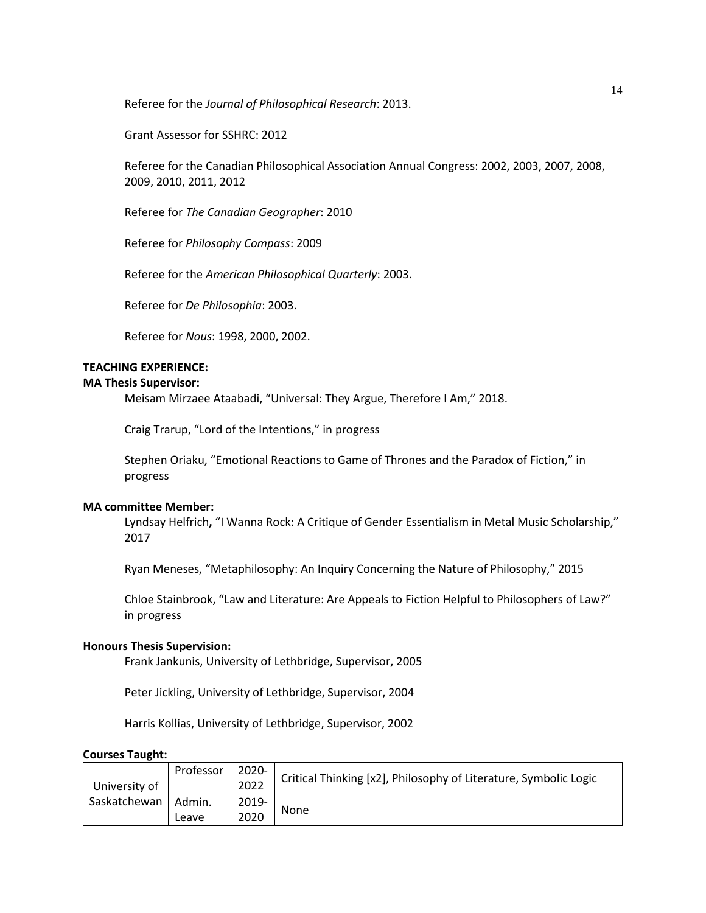Referee for the *Journal of Philosophical Research*: 2013.

Grant Assessor for SSHRC: 2012

Referee for the Canadian Philosophical Association Annual Congress: 2002, 2003, 2007, 2008, 2009, 2010, 2011, 2012

Referee for *The Canadian Geographer*: 2010

Referee for *Philosophy Compass*: 2009

Referee for the *American Philosophical Quarterly*: 2003.

Referee for *De Philosophia*: 2003.

Referee for *Nous*: 1998, 2000, 2002.

# **TEACHING EXPERIENCE:**

## **MA Thesis Supervisor:**

Meisam Mirzaee Ataabadi, "Universal: They Argue, Therefore I Am," 2018.

Craig Trarup, "Lord of the Intentions," in progress

Stephen Oriaku, "Emotional Reactions to Game of Thrones and the Paradox of Fiction," in progress

#### **MA committee Member:**

Lyndsay Helfrich**,** "I Wanna Rock: A Critique of Gender Essentialism in Metal Music Scholarship," 2017

Ryan Meneses, "Metaphilosophy: An Inquiry Concerning the Nature of Philosophy," 2015

Chloe Stainbrook, "Law and Literature: Are Appeals to Fiction Helpful to Philosophers of Law?" in progress

## **Honours Thesis Supervision:**

Frank Jankunis, University of Lethbridge, Supervisor, 2005

Peter Jickling, University of Lethbridge, Supervisor, 2004

Harris Kollias, University of Lethbridge, Supervisor, 2002

#### **Courses Taught:**

| University of<br>Saskatchewan | Professor       | 2020-<br>2022 | Critical Thinking [x2], Philosophy of Literature, Symbolic Logic |
|-------------------------------|-----------------|---------------|------------------------------------------------------------------|
|                               | Admin.<br>Leave | 2019-<br>2020 | None                                                             |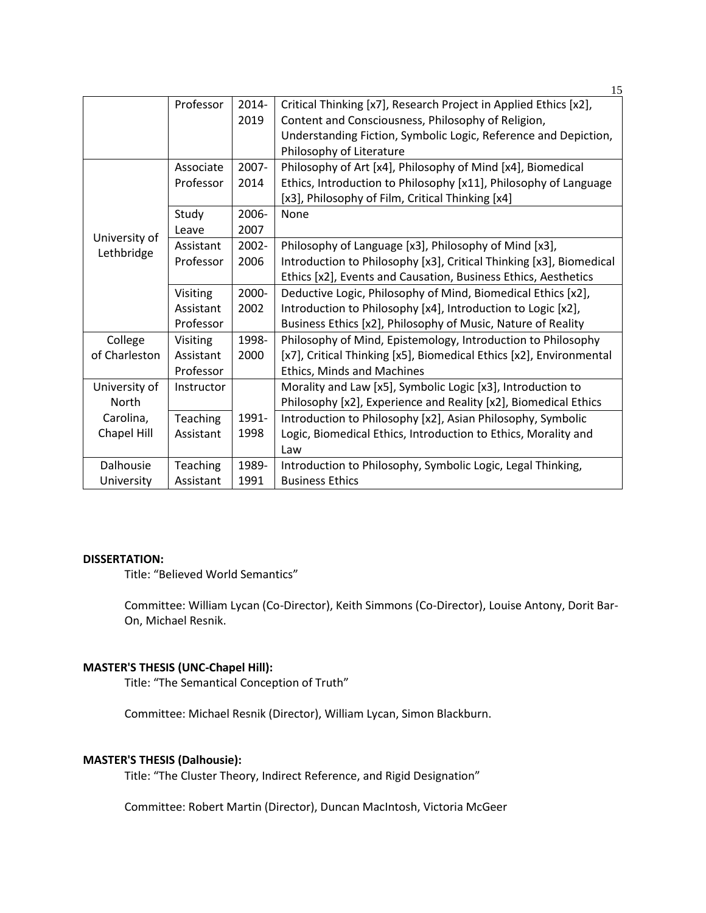|                             | Professor       | $2014 -$ | Critical Thinking [x7], Research Project in Applied Ethics [x2],    |
|-----------------------------|-----------------|----------|---------------------------------------------------------------------|
|                             |                 | 2019     | Content and Consciousness, Philosophy of Religion,                  |
|                             |                 |          | Understanding Fiction, Symbolic Logic, Reference and Depiction,     |
|                             |                 |          | Philosophy of Literature                                            |
| University of<br>Lethbridge | Associate       | 2007-    | Philosophy of Art [x4], Philosophy of Mind [x4], Biomedical         |
|                             | Professor       | 2014     | Ethics, Introduction to Philosophy [x11], Philosophy of Language    |
|                             |                 |          | [x3], Philosophy of Film, Critical Thinking [x4]                    |
|                             | Study           | 2006-    | None                                                                |
|                             | Leave           | 2007     |                                                                     |
|                             | Assistant       | 2002-    | Philosophy of Language [x3], Philosophy of Mind [x3],               |
|                             | Professor       | 2006     | Introduction to Philosophy [x3], Critical Thinking [x3], Biomedical |
|                             |                 |          | Ethics [x2], Events and Causation, Business Ethics, Aesthetics      |
|                             | Visiting        | 2000-    | Deductive Logic, Philosophy of Mind, Biomedical Ethics [x2],        |
|                             | Assistant       | 2002     | Introduction to Philosophy [x4], Introduction to Logic [x2],        |
|                             | Professor       |          | Business Ethics [x2], Philosophy of Music, Nature of Reality        |
| College                     | Visiting        | 1998-    | Philosophy of Mind, Epistemology, Introduction to Philosophy        |
| of Charleston               | Assistant       | 2000     | [x7], Critical Thinking [x5], Biomedical Ethics [x2], Environmental |
|                             | Professor       |          | Ethics, Minds and Machines                                          |
| University of               | Instructor      |          | Morality and Law [x5], Symbolic Logic [x3], Introduction to         |
| North                       |                 |          | Philosophy [x2], Experience and Reality [x2], Biomedical Ethics     |
| Carolina,                   | Teaching        | 1991-    | Introduction to Philosophy [x2], Asian Philosophy, Symbolic         |
| Chapel Hill                 | Assistant       | 1998     | Logic, Biomedical Ethics, Introduction to Ethics, Morality and      |
|                             |                 |          | Law                                                                 |
| Dalhousie                   | <b>Teaching</b> | 1989-    | Introduction to Philosophy, Symbolic Logic, Legal Thinking,         |
| University                  | Assistant       | 1991     | <b>Business Ethics</b>                                              |

### **DISSERTATION:**

Title: "Believed World Semantics"

Committee: William Lycan (Co-Director), Keith Simmons (Co-Director), Louise Antony, Dorit Bar-On, Michael Resnik.

#### **MASTER'S THESIS (UNC-Chapel Hill):**

Title: "The Semantical Conception of Truth"

Committee: Michael Resnik (Director), William Lycan, Simon Blackburn.

## **MASTER'S THESIS (Dalhousie):**

Title: "The Cluster Theory, Indirect Reference, and Rigid Designation"

Committee: Robert Martin (Director), Duncan MacIntosh, Victoria McGeer